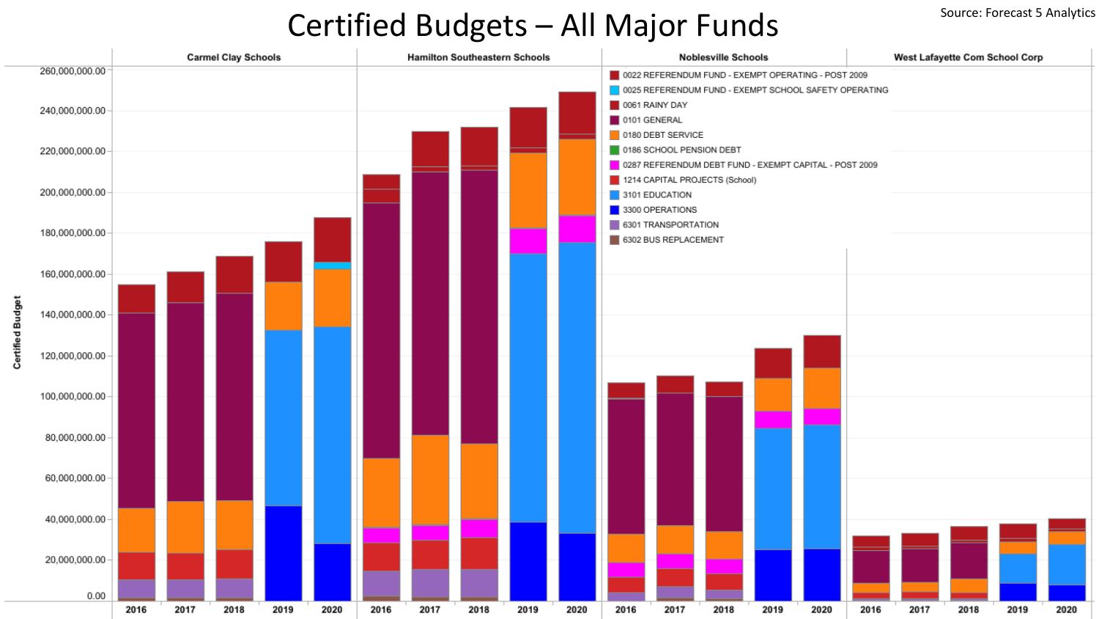## Certified Budgets - All Major Funds

|                  | <b>Carmel Clay Schools</b> |      |      |      |      | <b>Hamilton Southeastern Schools</b> |      |                                   |      |      |      | <b>Noblesville Schools</b> |                                                                                                              |      |      |      | West Lafayette Com School Corp |      |      |      |  |  |
|------------------|----------------------------|------|------|------|------|--------------------------------------|------|-----------------------------------|------|------|------|----------------------------|--------------------------------------------------------------------------------------------------------------|------|------|------|--------------------------------|------|------|------|--|--|
| 260,000,000.00   |                            |      |      |      |      |                                      |      |                                   |      |      |      |                            | 0022 REFERENDUM FUND - EXEMPT OPERATING - POST 2009<br>0025 REFERENDUM FUND - EXEMPT SCHOOL SAFETY OPERATING |      |      |      |                                |      |      |      |  |  |
| 240,000,000.00   |                            |      |      |      |      |                                      |      |                                   |      |      |      | 0061 RAINY DAY             |                                                                                                              |      |      |      |                                |      |      |      |  |  |
|                  |                            |      |      |      |      |                                      |      |                                   |      |      |      | 0101 GENERAL               |                                                                                                              |      |      |      |                                |      |      |      |  |  |
|                  |                            |      |      |      |      |                                      |      |                                   |      |      |      | 0180 DEBT SERVICE          |                                                                                                              |      |      |      |                                |      |      |      |  |  |
| 220,000,000.00   |                            |      |      |      |      |                                      |      |                                   |      |      |      | 0186 SCHOOL PENSION DEBT   |                                                                                                              |      |      |      |                                |      |      |      |  |  |
|                  |                            |      |      |      |      |                                      |      |                                   |      |      |      |                            | 0287 REFERENDUM DEBT FUND - EXEMPT CAPITAL - POST 2009                                                       |      |      |      |                                |      |      |      |  |  |
| 200,000,000.00   |                            |      |      |      |      |                                      |      |                                   |      |      |      |                            | 1214 CAPITAL PROJECTS (School)                                                                               |      |      |      |                                |      |      |      |  |  |
|                  |                            |      |      |      |      |                                      |      | 3101 EDUCATION<br>3300 OPERATIONS |      |      |      |                            |                                                                                                              |      |      |      |                                |      |      |      |  |  |
|                  |                            |      |      |      |      |                                      |      |                                   |      |      |      |                            |                                                                                                              |      |      |      |                                |      |      |      |  |  |
| 180,000,000.00   |                            |      |      |      |      |                                      |      |                                   |      |      |      | 6301 TRANSPORTATION        |                                                                                                              |      |      |      |                                |      |      |      |  |  |
|                  |                            |      |      |      |      |                                      |      |                                   |      |      |      | 6302 BUS REPLACEMENT       |                                                                                                              |      |      |      |                                |      |      |      |  |  |
|                  |                            |      |      |      |      |                                      |      |                                   |      |      |      |                            |                                                                                                              |      |      |      |                                |      |      |      |  |  |
| 160,000,000.00   |                            |      |      |      |      |                                      |      |                                   |      |      |      |                            |                                                                                                              |      |      |      |                                |      |      |      |  |  |
|                  |                            |      |      |      |      |                                      |      |                                   |      |      |      |                            |                                                                                                              |      |      |      |                                |      |      |      |  |  |
| 140,000,000.00 - |                            |      |      |      |      |                                      |      |                                   |      |      |      |                            |                                                                                                              |      |      |      |                                |      |      |      |  |  |
|                  |                            |      |      |      |      |                                      |      |                                   |      |      |      |                            |                                                                                                              |      |      |      |                                |      |      |      |  |  |
|                  |                            |      |      |      |      |                                      |      |                                   |      |      |      |                            |                                                                                                              |      |      |      |                                |      |      |      |  |  |
| 120,000,000.00 - |                            |      |      |      |      |                                      |      |                                   |      |      |      |                            |                                                                                                              |      |      |      |                                |      |      |      |  |  |
|                  |                            |      |      |      |      |                                      |      |                                   |      |      |      |                            |                                                                                                              |      |      |      |                                |      |      |      |  |  |
|                  |                            |      |      |      |      |                                      |      |                                   |      |      |      |                            |                                                                                                              |      |      |      |                                |      |      |      |  |  |
| 100,000,000.00 - |                            |      |      |      |      |                                      |      |                                   |      |      |      |                            |                                                                                                              |      |      |      |                                |      |      |      |  |  |
|                  |                            |      |      |      |      |                                      |      |                                   |      |      |      |                            |                                                                                                              |      |      |      |                                |      |      |      |  |  |
|                  |                            |      |      |      |      |                                      |      |                                   |      |      |      |                            |                                                                                                              |      |      |      |                                |      |      |      |  |  |
| 80,000,000.00    |                            |      |      |      |      |                                      |      |                                   |      |      |      |                            |                                                                                                              |      |      |      |                                |      |      |      |  |  |
|                  |                            |      |      |      |      |                                      |      |                                   |      |      |      |                            |                                                                                                              |      |      |      |                                |      |      |      |  |  |
| 60,000,000.00 -  |                            |      |      |      |      |                                      |      |                                   |      |      |      |                            |                                                                                                              |      |      |      |                                |      |      |      |  |  |
|                  |                            |      |      |      |      |                                      |      |                                   |      |      |      |                            |                                                                                                              |      |      |      |                                |      |      |      |  |  |
|                  |                            |      |      |      |      |                                      |      |                                   |      |      |      |                            |                                                                                                              |      |      |      |                                |      |      |      |  |  |
| 40,000,000.00 -  |                            |      |      |      |      |                                      |      |                                   |      |      |      |                            |                                                                                                              |      |      |      |                                |      |      |      |  |  |
|                  |                            |      |      |      |      |                                      |      |                                   |      |      |      |                            |                                                                                                              |      |      |      |                                |      |      |      |  |  |
|                  |                            |      |      |      |      |                                      |      |                                   |      |      |      |                            |                                                                                                              |      |      |      |                                |      |      |      |  |  |
| 20,000,000.00    |                            |      |      |      |      |                                      |      |                                   |      |      |      |                            |                                                                                                              |      |      |      |                                |      |      |      |  |  |
|                  |                            |      |      |      |      |                                      |      |                                   |      |      |      |                            |                                                                                                              |      |      |      |                                |      |      |      |  |  |
| 0.00             |                            |      |      |      |      |                                      |      |                                   |      |      |      |                            |                                                                                                              |      |      |      |                                |      |      |      |  |  |
|                  | 2016                       | 2017 | 2018 | 2019 | 2020 | 2016                                 | 2017 | 2018                              | 2019 | 2020 | 2016 | 2017                       | 2018                                                                                                         | 2019 | 2020 | 2016 | 2017                           | 2018 | 2019 | 2020 |  |  |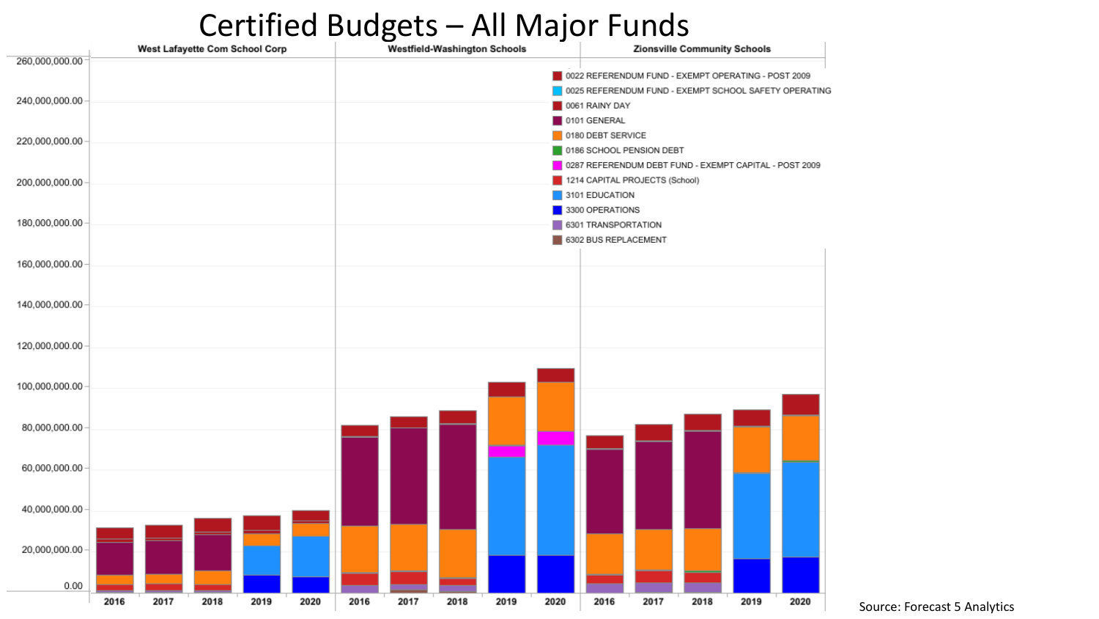## Certified Budgets – All Major Funds



Source: Forecast 5 Analytics